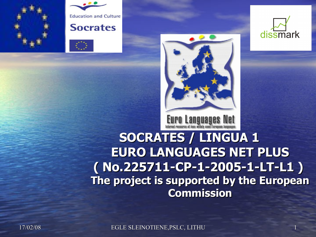









**SOCRATES / LINGUA 1 EURO LANGUAGES NET PLUS ( No.225711-CP-1-2005-1-LT-L1 ) The project is supported by the European Commission**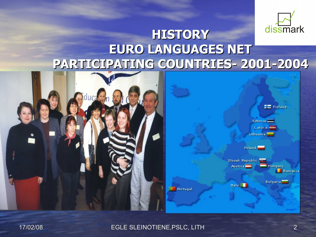

### **HISTORY EURO LANGUAGES NET PARTICIPATING COUNTRIES- 2001-2004**



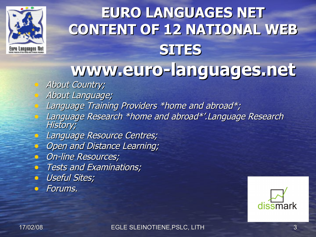

### **EURO LANGUAGES NET CONTENT OF 12 NATIONAL WEB SITES www.euro-languages.net**

- About Country;
- About Language;
- Language Training Providers \*home and abroad\*;
- Language Research \*home and abroad\*'.Language Research History;
- **Language Resource Centres;**
- Open and Distance Learning;
- On-line Resources;
- **Tests and Examinations;**
- Useful Sites;
- Forums.

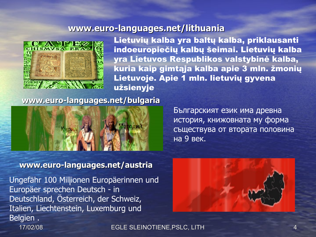#### **www.euro-languages.net/lithuania**



Lietuvių kalba yra baltų kalba, priklausanti indoeuropiečių kalbų šeimai. Lietuvių kalba yra Lietuvos Respublikos valstybinė kalba, kuria kaip gimtąja kalba apie 3 mln. žmonių Lietuvoje. Apie 1 mln. lietuvių gyvena užsienyje

#### **www.euro-languages.net/bulgaria**



Българският език има древна история, книжовната му форма съществува от втората половина на 9 век.

#### **www.euro-languages.net/austria**

Ungefähr 100 Millionen Europäerinnen und Europäer sprechen Deutsch - in Deutschland, Österreich, der Schweiz, Italien, Liechtenstein, Luxemburg und Belgien .

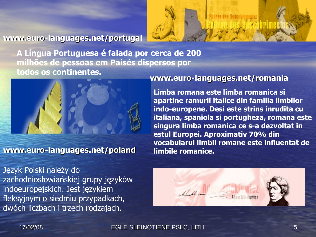#### **www.euro-languages.net/portugal**



**A Língua Portuguesa é falada por cerca de 200 milhões de pessoas em Paisés dispersos por todos os continentes.**



**www.euro-languages.net/poland**

Język Polski należy do zachodniosłowiańskiej grupy języków indoeuropejskich. Jest językiem fleksyjnym o siedmiu przypadkach, dwóch liczbach i trzech rodzajach.

#### **www.euro-languages.net/romania**

**Limba romana este limba romanica si apartine ramurii italice din familia limbilor indo-europene. Desi este strins inrudita cu italiana, spaniola si portugheza, romana este singura limba romanica ce s-a dezvoltat in estul Europei. Aproximativ 70% din vocabularul limbii romane este influentat de limbile romanice.**

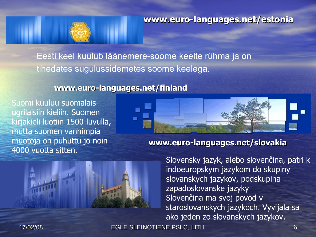

**www.euro-languages.net/estonia**

Eesti keel kuulub läänemere-soome keelte rühma ja on tihedates sugulussidemetes soome keelega.

#### **www.euro-languages.net/finland**

Suomi kuuluu suomalaisugrilaisiin kieliin. Suomen kirjakieli luotiin 1500-luvulla, mutta suomen vanhimpia muotoja on puhuttu jo noin 4000 vuotta sitten.



**www.euro-languages.net/slovakia**



Slovensky jazyk, alebo slovenčina, patri k indoeuropskym jazykom do skupiny slovanskych jazykov, podskupina zapadoslovanske jazyky Slovenčina ma svoj povod v staroslovanskych jazykoch. Vyvijala sa ako jeden zo slovanskych jazykov.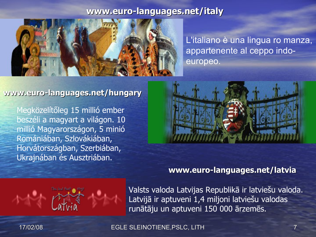#### **www.euro-languages.net/italy**



L'italiano è una lingua ro manza, appartenente al ceppo indoeuropeo.

#### **www.euro-languages.net/hungary**

Megközelítőleg 15 millió ember beszéli a magyart a világon. 10 millió Magyarországon, 5 minió Romániában, Szlovákiában, Horvátországban, Szerbiában, Ukrajnában és Ausztriában.



#### **www.euro-languages.net/latvia**



Valsts valoda Latvijas Republikā ir latviešu valoda. Latvijā ir aptuveni 1,4 miljoni latviešu valodas runātāju un aptuveni 150 000 ārzemēs.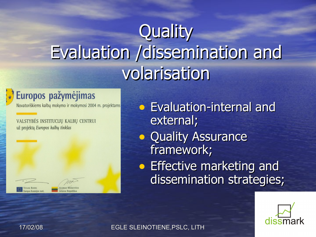# **Quality** Evaluation /dissemination and volarisation

### Europos pažymėjimas

Novatoriškiems kalbų mokymo ir mokymosi 2004 m. projektams

VALSTYBĖS INSTITUCIJŲ KALBŲ CENTRUI už projektą Europos kalbų tinklas

external; **• Quality Assurance** framework; **• Effective marketing and** dissemination strategies;

• Evaluation-internal and

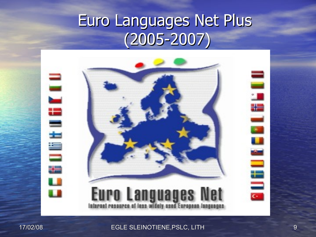### Euro Languages Net Plus  $(2005 - 2007)$



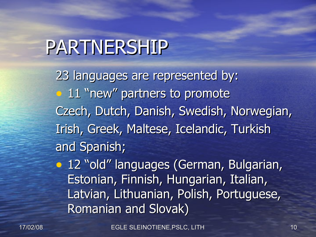# PARTNERSHIP

23 languages are represented by: • 11 "new" partners to promote Czech, Dutch, Danish, Swedish, Norwegian, Irish, Greek, Maltese, Icelandic, Turkish and Spanish;

• 12 "old" languages (German, Bulgarian, Estonian, Finnish, Hungarian, Italian, Latvian, Lithuanian, Polish, Portuguese, Romanian and Slovak)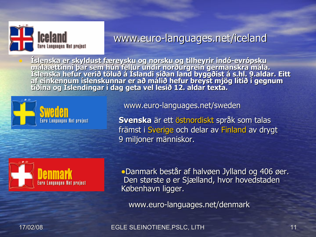

### www.euro-languages.net/iceland

• **Íslenska er skyldust færeysku og norsku og tilheyrir indó-evrópsku**  málaættinni þar sem hún fellur undir norðurgrein germanskra mála.<br>Íslenska hefur verið töluð á Íslandi síðan land byggðist á s.hl. 9.aldar. Eitt af einkennum íslenskunnar er að málið hefur breyst mjög lítið í gegnum<br>tíðina og Íslendingar í dag geta vel lesið 12. aldar texta.





www.euro-languages.net/sweden

**Svenska** är ett [öst](http://sv.wikipedia.org/wiki/%C3%96stnordiska_spr%C3%A5k)[nordiskt](http://sv.wikipedia.org/wiki/Nordiska_spr%C3%A5k) [språk](http://sv.wikipedia.org/wiki/Nordiska_spr%C3%A5k) som talas främst i [Sverige](http://sv.wikipedia.org/wiki/Sverige) och delar av [Finland](http://sv.wikipedia.org/wiki/Finland) av drygt 9 miljoner människor.

•Danmark består af halvøen Jylland og 406 øer. Den største ø er Sjælland, hvor hovedstaden København ligger.

www.euro-languages.net/denmark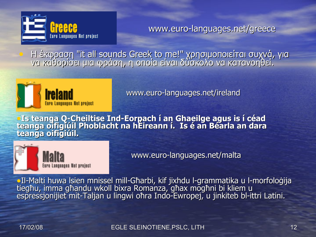

www.euro-languages.net/greece

• Η έκφραση "it all sounds Greek to me!" χρησιμοποιείται συχνά, για να καθορίσει μια φράση, η οποία είναι δύσκολο να κατανοηθεί.



www.euro-languages.net/ireland

**• Is teanga Q-Cheiltise Ind-Eorpach í an Ghaeilge agus is í céad teanga oifigiúil Phoblacht na hÉireann í. Is é an Béarla an dara teanga oifigiúil.**



www.euro-languages.net/malta

•Il-Malti huwa lsien mnissel mill-Għarbi, kif jixhdu l-grammatika u l-morfoloġija tiegħu, imma għandu wkoll bixra Romanza, għax mogħni bi kliem u espressjonijiet mit-Taljan u lingwi oħra Indo-Ewropej, u jinkiteb bl-ittri Latini.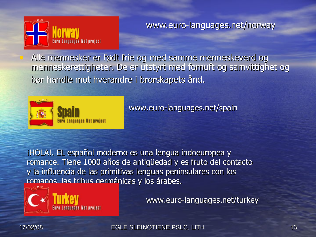

www.euro-languages.net/norway

• Alle mennesker er født frie og med samme menneskeverd og menneskerettigheter. De er utstyrt med fornuft og samvittighet og bør handle mot hverandre i brorskapets ånd.



www.euro-languages.net/spain

¡HOLA!. EL español moderno es una lengua indoeuropea y romance. Tiene 1000 años de antigüedad y es fruto del contacto y la influencia de las primitivas lenguas peninsulares con los romanos, las tribus germánicas y los árabes.



www.euro-languages.net/turkey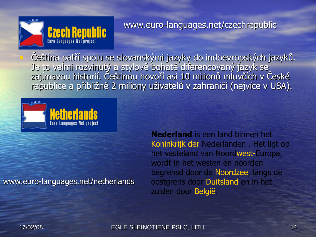

www.euro-languages.net/czechrepublic

• Čeština patří spolu se slovanskými jazyky do indoevropských jazyků. Je to velmi rozvinutý a stylově bohatě diferencovaný jazyk se zajímavou historií. Češtinou hovoří asi 10 milionů mluvčích v České republice a přibližně 2 miliony uživatelů v zahraničí (nejvíce v USA).



#### www.euro-languages.net/netherlands

**Nederland** is een land binnen het [Koninkrijk](http://nl.wikipedia.org/wiki/Koninkrijk_der_Nederlanden) [der](http://nl.wikipedia.org/wiki/Koninkrijk_der_Nederlanden) [Nederlanden](http://nl.wikipedia.org/wiki/Koninkrijk_der_Nederlanden) . Het ligt op het vasteland van Noor[dwest-Europa,](http://nl.wikipedia.org/wiki/West-Europa) wordt in het westen en noorden begrensd door de [Noordzee,](http://nl.wikipedia.org/wiki/Noordzee) langs de oostgrens door [Duitsland](http://nl.wikipedia.org/wiki/Duitsland) en in het zuiden door [België.](http://nl.wikipedia.org/wiki/Belgi%C3%AB)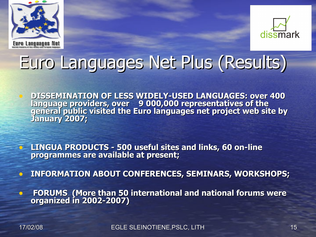



### Euro Languages Net Plus (Results)

• **DISSEMINATION OF LESS WIDELY-USED LANGUAGES: over 400 language providers, over 9 000,000 representatives of the general public visited the Euro languages net project web site by January 2007;**

• **LINGUA PRODUCTS - 500 useful sites and links, 60 on-line programmes are available at present;** 

• **INFORMATION ABOUT CONFERENCES, SEMINARS, WORKSHOPS;**

• **FORUMS (More than 50 international and national forums were organized in 2002-2007)**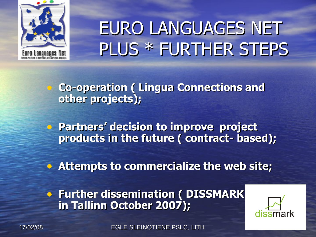

## EURO LANGUAGES NET PLUS \* FURTHER STEPS

• **Co-operation ( Lingua Connections and other projects);**

• **Partners' decision to improve project products in the future ( contract- based);**

• **Attempts to commercialize the web site;**

**• Further dissemination ( DISSMARK in Tallinn October 2007);**